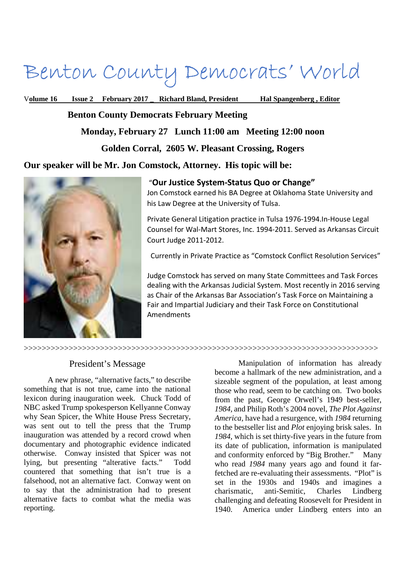# Benton County Democrats' World

V**olume 16 Issue 2 February 2017 \_ Richard Bland, President Hal Spangenberg , Editor** 

 **Benton County Democrats February Meeting** 

**Monday, February 27 Lunch 11:00 am Meeting 12:00 noon** 

**Golden Corral, 2605 W. Pleasant Crossing, Rogers** 

>>>>>>>>>>>>>>>>>>>>>>>>>>>>>>>>>>>>>>>>>>>>>>>>>>>>>>>>>>>>>>>>>>>>>>>>>>>>>>>

**Our speaker will be Mr. Jon Comstock, Attorney. His topic will be:** 



### "**Our Justice System-Status Quo or Change"**

Jon Comstock earned his BA Degree at Oklahoma State University and his Law Degree at the University of Tulsa.

Private General Litigation practice in Tulsa 1976-1994.In-House Legal Counsel for Wal-Mart Stores, Inc. 1994-2011. Served as Arkansas Circuit Court Judge 2011-2012.

Currently in Private Practice as "Comstock Conflict Resolution Services"

Judge Comstock has served on many State Committees and Task Forces dealing with the Arkansas Judicial System. Most recently in 2016 serving as Chair of the Arkansas Bar Association's Task Force on Maintaining a Fair and Impartial Judiciary and their Task Force on Constitutional Amendments

## President's Message

A new phrase, "alternative facts," to describe something that is not true, came into the national lexicon during inauguration week. Chuck Todd of NBC asked Trump spokesperson Kellyanne Conway why Sean Spicer, the White House Press Secretary, was sent out to tell the press that the Trump inauguration was attended by a record crowd when documentary and photographic evidence indicated otherwise. Conway insisted that Spicer was not lying, but presenting "alterative facts." Todd countered that something that isn't true is a falsehood, not an alternative fact. Conway went on to say that the administration had to present alternative facts to combat what the media was reporting.

Manipulation of information has already become a hallmark of the new administration, and a sizeable segment of the population, at least among those who read, seem to be catching on. Two books from the past, George Orwell's 1949 best-seller, *1984,* and Philip Roth's 2004 novel, *The Plot Against America,* have had a resurgence, with *1984* returning to the bestseller list and *Plot* enjoying brisk sales. In *1984*, which is set thirty-five years in the future from its date of publication, information is manipulated and conformity enforced by "Big Brother." Many who read *1984* many years ago and found it farfetched are re-evaluating their assessments. "Plot" is set in the 1930s and 1940s and imagines a charismatic, anti-Semitic, Charles Lindberg challenging and defeating Roosevelt for President in 1940. America under Lindberg enters into an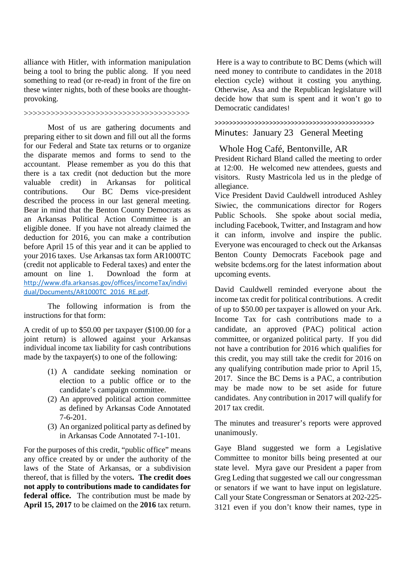alliance with Hitler, with information manipulation being a tool to bring the public along. If you need something to read (or re-read) in front of the fire on these winter nights, both of these books are thoughtprovoking.

#### >>>>>>>>>>>>>>>>>>>>>>>>>>>>>>>>>>>>>

Most of us are gathering documents and preparing either to sit down and fill out all the forms for our Federal and State tax returns or to organize the disparate memos and forms to send to the accountant. Please remember as you do this that there is a tax credit (not deduction but the more valuable credit) in Arkansas for political contributions. Our BC Dems vice-president described the process in our last general meeting. Bear in mind that the Benton County Democrats as an Arkansas Political Action Committee is an eligible donee. If you have not already claimed the deduction for 2016, you can make a contribution before April 15 of this year and it can be applied to your 2016 taxes. Use Arkansas tax form AR1000TC (credit not applicable to Federal taxes) and enter the amount on line 1. Download the form at http://www.dfa.arkansas.gov/offices/incomeTax/indivi dual/Documents/AR1000TC\_2016\_RE.pdf.

The following information is from the instructions for that form:

A credit of up to \$50.00 per taxpayer (\$100.00 for a joint return) is allowed against your Arkansas individual income tax liability for cash contributions made by the taxpayer(s) to one of the following:

- (1) A candidate seeking nomination or election to a public office or to the candidate's campaign committee.
- (2) An approved political action committee as defined by Arkansas Code Annotated 7-6-201.
- (3) An organized political party as defined by in Arkansas Code Annotated 7-1-101.

For the purposes of this credit, "public office" means any office created by or under the authority of the laws of the State of Arkansas, or a subdivision thereof, that is filled by the voters**. The credit does not apply to contributions made to candidates for federal office.** The contribution must be made by **April 15, 2017** to be claimed on the **2016** tax return.

 Here is a way to contribute to BC Dems (which will need money to contribute to candidates in the 2018 election cycle) without it costing you anything. Otherwise, Asa and the Republican legislature will decide how that sum is spent and it won't go to Democratic candidates!

>>>>>>>>>>>>>>>>>>>>>>>>>>>>>>>>>>>>>>>>>>>> Minutes: January 23 General Meeting

 Whole Hog Café, Bentonville, AR President Richard Bland called the meeting to order at 12:00. He welcomed new attendees, guests and visitors. Rusty Mastricola led us in the pledge of allegiance.

Vice President David Cauldwell introduced Ashley Siwiec, the communications director for Rogers Public Schools. She spoke about social media, including Facebook, Twitter, and Instagram and how it can inform, involve and inspire the public. Everyone was encouraged to check out the Arkansas Benton County Democrats Facebook page and website bcdems.org for the latest information about upcoming events.

David Cauldwell reminded everyone about the income tax credit for political contributions. A credit of up to \$50.00 per taxpayer is allowed on your Ark. Income Tax for cash contributions made to a candidate, an approved (PAC) political action committee, or organized political party. If you did not have a contribution for 2016 which qualifies for this credit, you may still take the credit for 2016 on any qualifying contribution made prior to April 15, 2017. Since the BC Dems is a PAC, a contribution may be made now to be set aside for future candidates. Any contribution in 2017 will qualify for 2017 tax credit.

The minutes and treasurer's reports were approved unanimously.

Gaye Bland suggested we form a Legislative Committee to monitor bills being presented at our state level. Myra gave our President a paper from Greg Leding that suggested we call our congressman or senators if we want to have input on legislature. Call your State Congressman or Senators at 202-225- 3121 even if you don't know their names, type in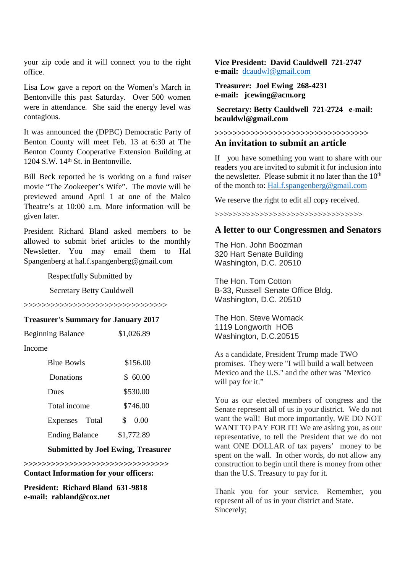your zip code and it will connect you to the right office.

Lisa Low gave a report on the Women's March in Bentonville this past Saturday. Over 500 women were in attendance. She said the energy level was contagious.

It was announced the (DPBC) Democratic Party of Benton County will meet Feb. 13 at 6:30 at The Benton County Cooperative Extension Building at  $1204$  S.W.  $14<sup>th</sup>$  St. in Bentonville.

Bill Beck reported he is working on a fund raiser movie "The Zookeeper's Wife". The movie will be previewed around April 1 at one of the Malco Theatre's at 10:00 a.m. More information will be given later.

President Richard Bland asked members to be allowed to submit brief articles to the monthly Newsletter. You may email them to Hal Spangenberg at hal.f.spangenberg@gmail.com

Respectfully Submitted by

Secretary Betty Cauldwell

>>>>>>>>>>>>>>>>>>>>>>>>>>>>>>>>

#### **Treasurer's Summary for January 2017**

| <b>Beginning Balance</b> | \$1,026.89 |
|--------------------------|------------|
|--------------------------|------------|

Income

| <b>Blue Bowls</b>     | \$156.00   |
|-----------------------|------------|
| Donations             | \$60.00    |
| Dues                  | \$530.00   |
| Total income          | \$746.00   |
| Expenses Total        | 0.00<br>S. |
| <b>Ending Balance</b> | \$1,772.89 |

#### **Submitted by Joel Ewing, Treasurer**

**>>>>>>>>>>>>>>>>>>>>>>>>>>>>>>>> Contact Information for your officers:** 

**President: Richard Bland 631-9818 e-mail: rabland@cox.net** 

**Vice President: David Cauldwell 721-2747 e-mail:** dcaudwl@gmail.com

**Treasurer: Joel Ewing 268-4231 e-mail: jcewing@acm.org** 

 **Secretary: Betty Cauldwell 721-2724 e-mail: bcauldwl@gmail.com** 

## **>>>>>>>>>>>>>>>>>>>>>>>>>>>>>>>>>> An invitation to submit an article**

If you have something you want to share with our readers you are invited to submit it for inclusion into the newsletter. Please submit it no later than the  $10<sup>th</sup>$ of the month to: Hal.f.spangenberg@gmail.com

We reserve the right to edit all copy received.

>>>>>>>>>>>>>>>>>>>>>>>>>>>>>>>>>

### **A letter to our Congressmen and Senators**

The Hon. John Boozman 320 Hart Senate Building Washington, D.C. 20510

The Hon. Tom Cotton B-33, Russell Senate Office Bldg. Washington, D.C. 20510

The Hon. Steve Womack 1119 Longworth HOB Washington, D.C.20515

As a candidate, President Trump made TWO promises. They were "I will build a wall between Mexico and the U.S." and the other was "Mexico will pay for it."

You as our elected members of congress and the Senate represent all of us in your district. We do not want the wall! But more importantly, WE DO NOT WANT TO PAY FOR IT! We are asking you, as our representative, to tell the President that we do not want ONE DOLLAR of tax payers' money to be spent on the wall. In other words, do not allow any construction to begin until there is money from other than the U.S. Treasury to pay for it.

Thank you for your service. Remember, you represent all of us in your district and State. Sincerely: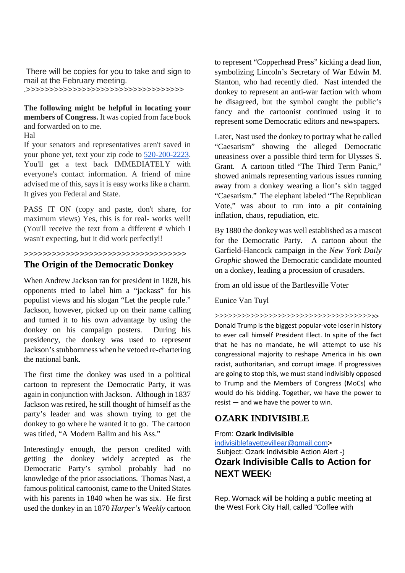There will be copies for you to take and sign to mail at the February meeting.

.>>>>>>>>>>>>>>>>>>>>>>>>>>>>>>>>>>

**The following might be helpful in locating your members of Congress.** It was copied from face book and forwarded on to me.

Hal

If your senators and representatives aren't saved in your phone yet, text your zip code to 520-200-2223. You'll get a text back IMMEDIATELY with everyone's contact information. A friend of mine advised me of this, says it is easy works like a charm. It gives you Federal and State.

PASS IT ON (copy and paste, don't share, for maximum views) Yes, this is for real- works well! (You'll receive the text from a different # which I wasn't expecting, but it did work perfectly!!

## >>>>>>>>>>>>>>>>>>>>>>>>>>>>>>>>>>> **The Origin of the Democratic Donkey**

When Andrew Jackson ran for president in 1828, his opponents tried to label him a "jackass" for his populist views and his slogan "Let the people rule." Jackson, however, picked up on their name calling and turned it to his own advantage by using the donkey on his campaign posters. During his presidency, the donkey was used to represent Jackson's stubbornness when he vetoed re-chartering the national bank.

The first time the donkey was used in a political cartoon to represent the Democratic Party, it was again in conjunction with Jackson. Although in 1837 Jackson was retired, he still thought of himself as the party's leader and was shown trying to get the donkey to go where he wanted it to go. The cartoon was titled, "A Modern Balim and his Ass."

Interestingly enough, the person credited with getting the donkey widely accepted as the Democratic Party's symbol probably had no knowledge of the prior associations. Thomas Nast, a famous political cartoonist, came to the United States with his parents in 1840 when he was six. He first used the donkey in an 1870 *Harper's Weekly* cartoon

to represent "Copperhead Press" kicking a dead lion, symbolizing Lincoln's Secretary of War Edwin M. Stanton, who had recently died. Nast intended the donkey to represent an anti-war faction with whom he disagreed, but the symbol caught the public's fancy and the cartoonist continued using it to represent some Democratic editors and newspapers.

Later, Nast used the donkey to portray what he called "Caesarism" showing the alleged Democratic uneasiness over a possible third term for Ulysses S. Grant. A cartoon titled "The Third Term Panic," showed animals representing various issues running away from a donkey wearing a lion's skin tagged "Caesarism." The elephant labeled "The Republican Vote," was about to run into a pit containing inflation, chaos, repudiation, etc.

By 1880 the donkey was well established as a mascot for the Democratic Party. A cartoon about the Garfield-Hancock campaign in the *New York Daily Graphic* showed the Democratic candidate mounted on a donkey, leading a procession of crusaders.

from an old issue of the Bartlesville Voter

### Eunice Van Tuyl

>>>>>>>>>>>>>>>>>>>>>>>>>>>>>>>>>>>>>

Donald Trump is the biggest popular-vote loser in history to ever call himself President Elect. In spite of the fact that he has no mandate, he will attempt to use his congressional majority to reshape America in his own racist, authoritarian, and corrupt image. If progressives are going to stop this, we must stand indivisibly opposed to Trump and the Members of Congress (MoCs) who would do his bidding. Together, we have the power to resist — and we have the power to win.

## **OZARK INDIVISIBLE**

#### From: **Ozark Indivisible**

indivisiblefayettevillear@gmail.com>

 Subject: Ozark Indivisible Action Alert -) **Ozark Indivisible Calls to Action for NEXT WEEK**!

Rep. Womack will be holding a public meeting at the West Fork City Hall, called "Coffee with